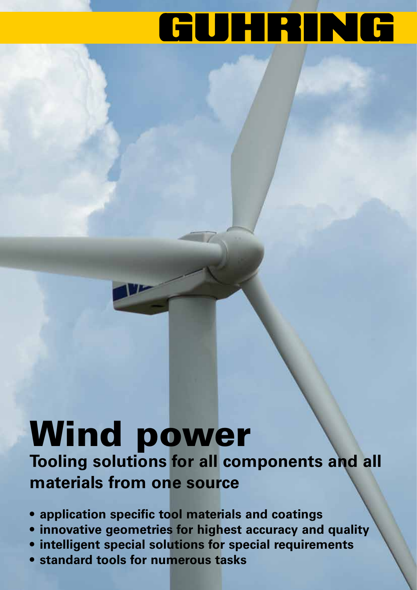# GUHRING

## Wind power **Tooling solutions for all components and all materials from one source**

- **application specific tool materials and coatings**
- **• innovative geometries for highest accuracy and quality**
- **• intelligent special solutions for special requirements**
- **• standard tools for numerous tasks**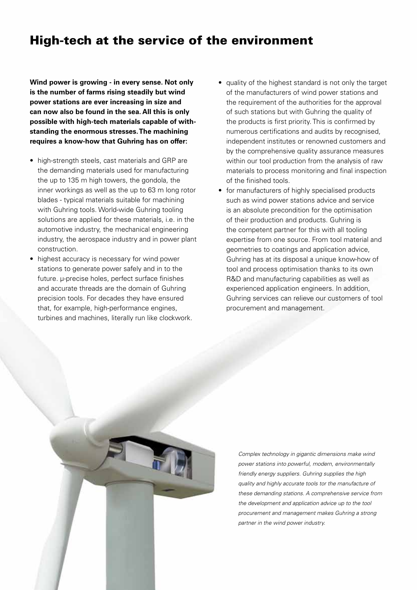#### High-tech at the service of the environment

**Wind power is growing - in every sense. Not only is the number of farms rising steadily but wind power stations are ever increasing in size and can now also be found in the sea. All this is only possible with high-tech materials capable of withstanding the enormous stresses. The machining requires a know-how that Guhring has on offer:** 

- high-strength steels, cast materials and GRP are the demanding materials used for manufacturing the up to 135 m high towers, the gondola, the inner workings as well as the up to 63 m long rotor blades - typical materials suitable for machining with Guhring tools. World-wide Guhring tooling solutions are applied for these materials, i.e. in the automotive industry, the mechanical engineering industry, the aerospace industry and in power plant construction.
- highest accuracy is necessary for wind power stations to generate power safely and in to the future. µ-precise holes, perfect surface finishes and accurate threads are the domain of Guhring precision tools. For decades they have ensured that, for example, high-performance engines, turbines and machines, literally run like clockwork.
- quality of the highest standard is not only the target of the manufacturers of wind power stations and the requirement of the authorities for the approval of such stations but with Guhring the quality of the products is first priority. This is confirmed by numerous certifications and audits by recognised, independent institutes or renowned customers and by the comprehensive quality assurance measures within our tool production from the analysis of raw materials to process monitoring and final inspection of the finished tools.
- for manufacturers of highly specialised products such as wind power stations advice and service is an absolute precondition for the optimisation of their production and products. Guhring is the competent partner for this with all tooling expertise from one source. From tool material and geometries to coatings and application advice, Guhring has at its disposal a unique know-how of tool and process optimisation thanks to its own R&D and manufacturing capabilities as well as experienced application engineers. In addition, Guhring services can relieve our customers of tool procurement and management.



*Complex technology in gigantic dimensions make wind power stations into powerful, modern, environmentally friendly energy suppliers. Guhring supplies the high quality and highly accurate tools tor the manufacture of these demanding stations. A comprehensive service from the development and application advice up to the tool procurement and management makes Guhring a strong partner in the wind power industry.*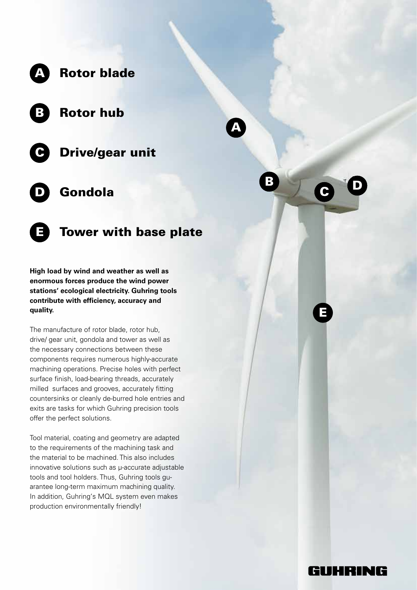

B

A Rotor blade

Rotor hub



C Drive/gear unit

Gondola



#### Tower with base plate

A

B

C

E

GUHRING

**High load by wind and weather as well as enormous forces produce the wind power stations' ecological electricity. Guhring tools contribute with efficiency, accuracy and quality.** 

The manufacture of rotor blade, rotor hub, drive/ gear unit, gondola and tower as well as the necessary connections between these components requires numerous highly-accurate machining operations. Precise holes with perfect surface finish, load-bearing threads, accurately milled surfaces and grooves, accurately fitting countersinks or cleanly de-burred hole entries and exits are tasks for which Guhring precision tools offer the perfect solutions.

Tool material, coating and geometry are adapted to the requirements of the machining task and the material to be machined. This also includes innovative solutions such as µ-accurate adjustable tools and tool holders. Thus, Guhring tools guarantee long-term maximum machining quality. In addition, Guhring's MQL system even makes production environmentally friendly!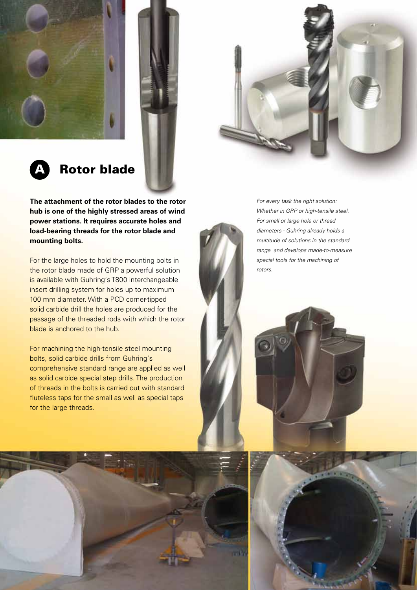





### **Rotor blade**

**The attachment of the rotor blades to the rotor hub is one of the highly stressed areas of wind power stations. It requires accurate holes and load-bearing threads for the rotor blade and mounting bolts.** 

For the large holes to hold the mounting bolts in the rotor blade made of GRP a powerful solution is available with Guhring's T800 interchangeable insert drilling system for holes up to maximum 100 mm diameter. With a PCD corner-tipped solid carbide drill the holes are produced for the passage of the threaded rods with which the rotor blade is anchored to the hub.

For machining the high-tensile steel mounting bolts, solid carbide drills from Guhring's comprehensive standard range are applied as well as solid carbide special step drills. The production of threads in the bolts is carried out with standard fluteless taps for the small as well as special taps for the large threads.

*For every task the right solution: Whether in GRP or high-tensile steel. For small or large hole or thread diameters - Guhring already holds a multitude of solutions in the standard range and develops made-to-measure special tools for the machining of rotors.*





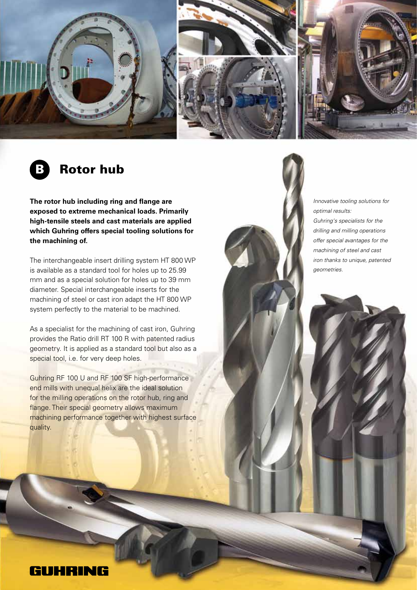



#### **Rotor hub**

**The rotor hub including ring and flange are exposed to extreme mechanical loads. Primarily high-tensile steels and cast materials are applied which Guhring offers special tooling solutions for the machining of.** 

The interchangeable insert drilling system HT 800 WP is available as a standard tool for holes up to 25.99 mm and as a special solution for holes up to 39 mm diameter. Special interchangeable inserts for the machining of steel or cast iron adapt the HT 800 WP system perfectly to the material to be machined.

As a specialist for the machining of cast iron, Guhring provides the Ratio drill RT 100 R with patented radius geometry. It is applied as a standard tool but also as a special tool, i.e. for very deep holes.

Guhring RF 100 U and RF 100 SF high-performance end mills with unequal helix are the ideal solution for the milling operations on the rotor hub, ring and flange. Their special geometry allows maximum machining performance together with highest surface quality.

*Innovative tooling solutions for optimal results:*

*Guhring's specialists for the drilling and milling operations offer special avantages for the machining of steel and cast iron thanks to unique, patented geometries.*

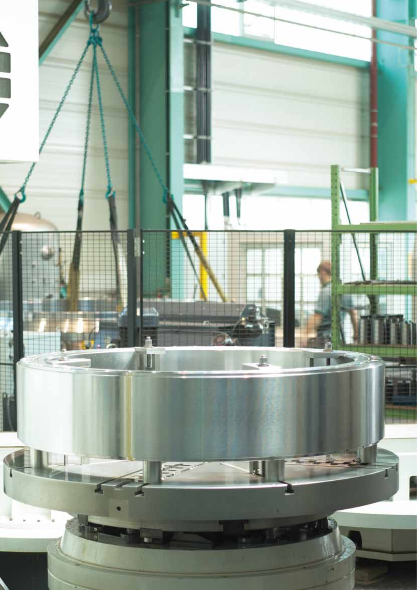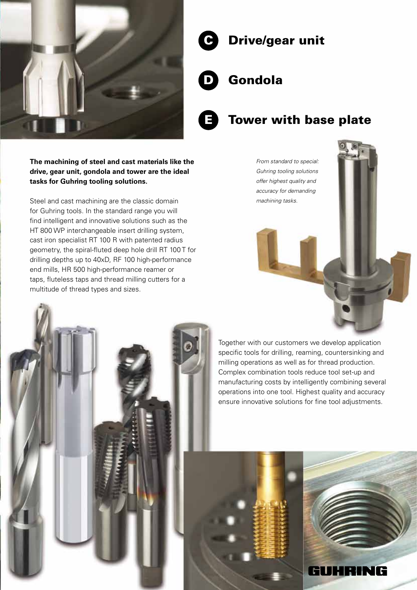

#### **C** Drive/gear unit



#### D Gondola

**E** Tower with base plate

**The machining of steel and cast materials like the drive, gear unit, gondola and tower are the ideal tasks for Guhring tooling solutions.**

Steel and cast machining are the classic domain for Guhring tools. In the standard range you will find intelligent and innovative solutions such as the HT 800 WP interchangeable insert drilling system, cast iron specialist RT 100 R with patented radius geometry, the spiral-fluted deep hole drill RT 100 T for drilling depths up to 40xD, RF 100 high-performance end mills, HR 500 high-performance reamer or taps, fluteless taps and thread milling cutters for a multitude of thread types and sizes.

*From standard to special: Guhring tooling solutions offer highest quality and accuracy for demanding machining tasks.* 

Together with our customers we develop application specific tools for drilling, reaming, countersinking and milling operations as well as for thread production. Complex combination tools reduce tool set-up and manufacturing costs by intelligently combining several operations into one tool. Highest quality and accuracy ensure innovative solutions for fine tool adjustments.

GUHRING